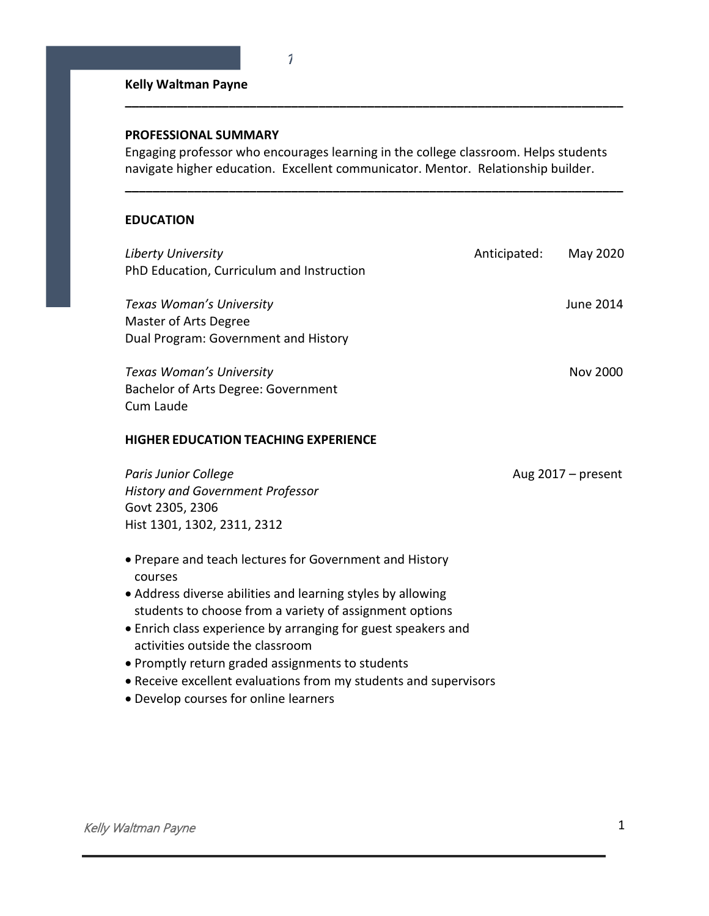# **Kelly Waltman Payne**

## **PROFESSIONAL SUMMARY**

Engaging professor who encourages learning in the college classroom. Helps students navigate higher education. Excellent communicator. Mentor. Relationship builder.

**\_\_\_\_\_\_\_\_\_\_\_\_\_\_\_\_\_\_\_\_\_\_\_\_\_\_\_\_\_\_\_\_\_\_\_\_\_\_\_\_\_\_\_\_\_\_\_\_\_\_\_\_\_\_\_\_\_\_\_\_\_\_\_\_\_\_\_\_\_\_\_\_**

**\_\_\_\_\_\_\_\_\_\_\_\_\_\_\_\_\_\_\_\_\_\_\_\_\_\_\_\_\_\_\_\_\_\_\_\_\_\_\_\_\_\_\_\_\_\_\_\_\_\_\_\_\_\_\_\_\_\_\_\_\_\_\_\_\_\_\_\_\_\_\_\_**

# **EDUCATION**

| Liberty University                                                 | Anticipated: | May 2020             |
|--------------------------------------------------------------------|--------------|----------------------|
| PhD Education, Curriculum and Instruction                          |              |                      |
| Texas Woman's University                                           |              | June 2014            |
| Master of Arts Degree                                              |              |                      |
| Dual Program: Government and History                               |              |                      |
| Texas Woman's University                                           |              | Nov 2000             |
| Bachelor of Arts Degree: Government                                |              |                      |
| Cum Laude                                                          |              |                      |
| <b>HIGHER EDUCATION TEACHING EXPERIENCE</b>                        |              |                      |
| Paris Junior College                                               |              | Aug $2017$ – present |
| <b>History and Government Professor</b>                            |              |                      |
| Govt 2305, 2306                                                    |              |                      |
| Hist 1301, 1302, 2311, 2312                                        |              |                      |
| • Prepare and teach lectures for Government and History<br>courses |              |                      |
| • Address diverse abilities and learning styles by allowing        |              |                      |
| students to choose from a variety of assignment options            |              |                      |
| • Enrich class experience by arranging for guest speakers and      |              |                      |
| activities outside the classroom                                   |              |                      |
| • Promptly return graded assignments to students                   |              |                      |

- Receive excellent evaluations from my students and supervisors
- Develop courses for online learners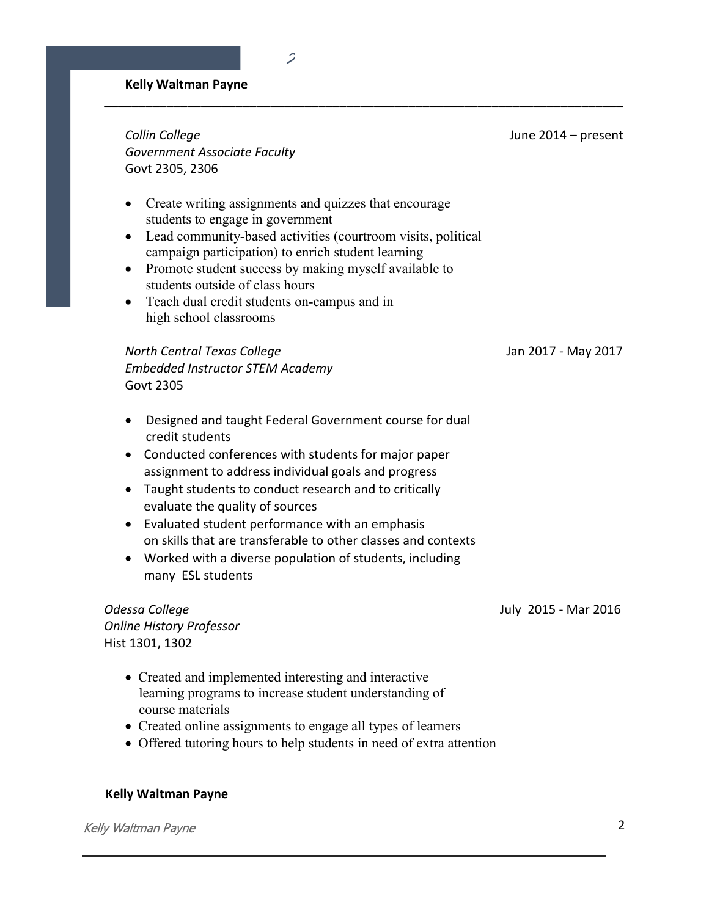### **Kelly Waltman Payne**

*Collin College* June 2014 – present *Government Associate Faculty* Govt 2305, 2306

• Create writing assignments and quizzes that encourage students to engage in government

 $\overline{\mathcal{L}}$ 

**\_\_\_\_\_\_\_\_\_\_\_\_\_\_\_\_\_\_\_\_\_\_\_\_\_\_\_\_\_\_\_\_\_\_\_\_\_\_\_\_\_\_\_\_\_\_\_\_\_\_\_\_\_\_\_\_\_\_\_\_\_\_\_\_\_\_\_\_\_\_\_\_\_\_\_** 

- Lead community-based activities (courtroom visits, political campaign participation) to enrich student learning
- Promote student success by making myself available to students outside of class hours
- Teach dual credit students on-campus and in high school classrooms

*North Central Texas College* Jan 2017 - May 2017 *Embedded Instructor STEM Academy* Govt 2305

- Designed and taught Federal Government course for dual credit students
- Conducted conferences with students for major paper assignment to address individual goals and progress
- Taught students to conduct research and to critically evaluate the quality of sources
- Evaluated student performance with an emphasis on skills that are transferable to other classes and contexts
- Worked with a diverse population of students, including many ESL students

*Odessa College* July 2015 - Mar 2016 *Online History Professor* Hist 1301, 1302

- Created and implemented interesting and interactive learning programs to increase student understanding of course materials
- Created online assignments to engage all types of learners
- Offered tutoring hours to help students in need of extra attention

#### **Kelly Waltman Payne**

Kelly Waltman Payne 2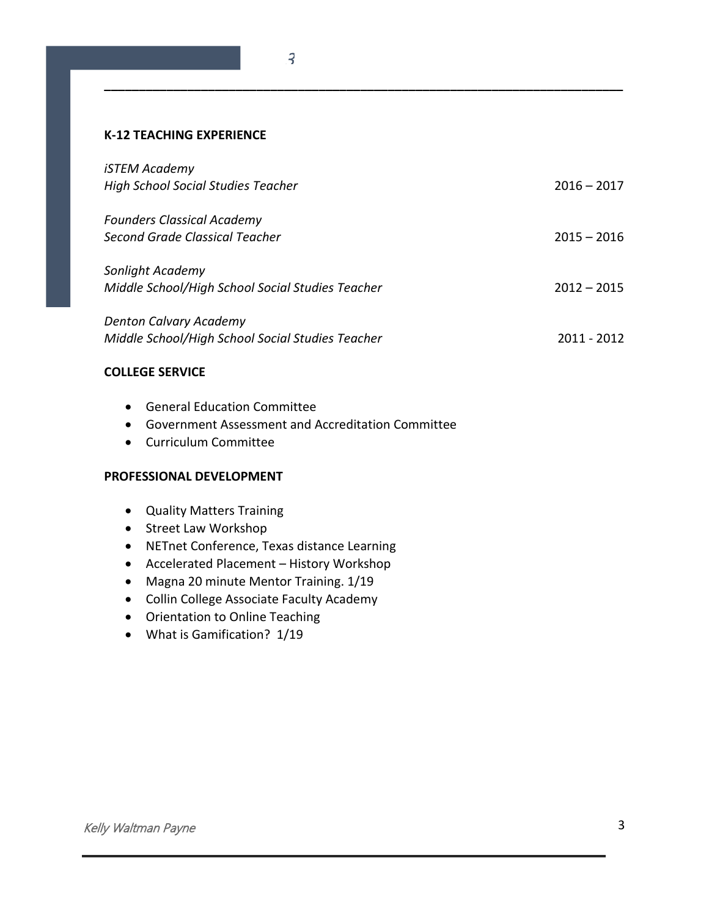## **K-12 TEACHING EXPERIENCE**

| iSTEM Academy                                    |               |
|--------------------------------------------------|---------------|
| <b>High School Social Studies Teacher</b>        | $2016 - 2017$ |
| <b>Founders Classical Academy</b>                |               |
| <b>Second Grade Classical Teacher</b>            | $2015 - 2016$ |
| Sonlight Academy                                 |               |
| Middle School/High School Social Studies Teacher | $2012 - 2015$ |
| <b>Denton Calvary Academy</b>                    |               |
| Middle School/High School Social Studies Teacher | 2011 - 2012   |
|                                                  |               |

**\_\_\_\_\_\_\_\_\_\_\_\_\_\_\_\_\_\_\_\_\_\_\_\_\_\_\_\_\_\_\_\_\_\_\_\_\_\_\_\_\_\_\_\_\_\_\_\_\_\_\_\_\_\_\_\_\_\_\_\_\_\_\_\_\_\_\_\_\_\_\_\_\_\_\_** 

# **COLLEGE SERVICE**

- General Education Committee
- Government Assessment and Accreditation Committee
- Curriculum Committee

### **PROFESSIONAL DEVELOPMENT**

- Quality Matters Training
- Street Law Workshop
- NETnet Conference, Texas distance Learning
- Accelerated Placement History Workshop
- Magna 20 minute Mentor Training. 1/19
- Collin College Associate Faculty Academy
- Orientation to Online Teaching
- What is Gamification? 1/19